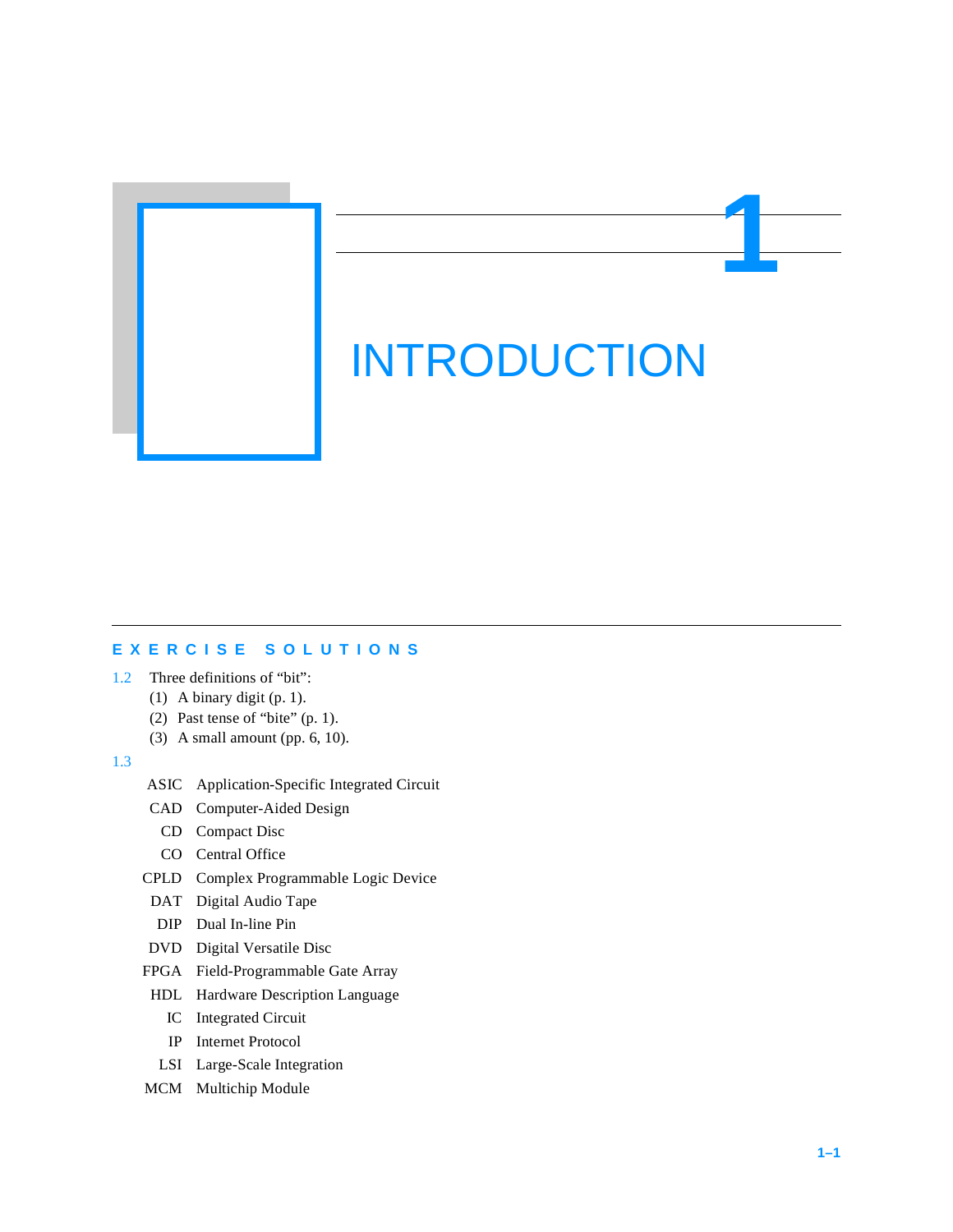INTRODUCTION

**1**

## **EXERCISE SOLUTIONS**

- 1.2 Three definitions of "bit":
	- (1) A binary digit (p. 1).
	- (2) Past tense of "bite" (p. 1).
	- (3) A small amount (pp. 6, 10).

## 1.3

- ASIC Application-Specific Integrated Circuit
- CAD Computer-Aided Design
	- CD Compact Disc
	- CO Central Office
- CPLD Complex Programmable Logic Device
- DAT Digital Audio Tape
- DIP Dual In-line Pin
- DVD Digital Versatile Disc
- FPGA Field-Programmable Gate Array
- HDL Hardware Description Language
	- IC Integrated Circuit
	- IP Internet Protocol
- LSI Large-Scale Integration
- MCM Multichip Module